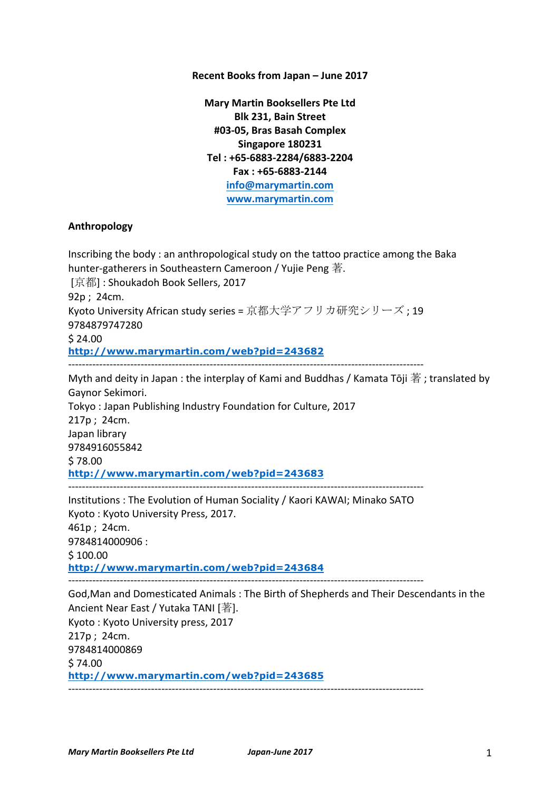### **Recent Books from Japan – June 2017**

**Mary Martin Booksellers Pte Ltd Blk 231, Bain Street #03-05, Bras Basah Complex Singapore 180231 Tel : +65-6883-2284/6883-2204 Fax : +65-6883-2144 info@marymartin.com www.marymartin.com**

#### **Anthropology**

Inscribing the body : an anthropological study on the tattoo practice among the Baka hunter-gatherers in Southeastern Cameroon / Yujie Peng 著. [京都]: Shoukadoh Book Sellers, 2017  $92p: 24cm.$ Kyoto University African study series = 京都大学アフリカ研究シリーズ ; 19 9784879747280  $$24.00$ **http://www.marymartin.com/web?pid=243682** ------------------------------------------------------------------------------------------------------- Myth and deity in Japan : the interplay of Kami and Buddhas / Kamata Tōji 著 ; translated by Gaynor Sekimori. Tokyo: Japan Publishing Industry Foundation for Culture, 2017 217p ; 24cm. Japan library 9784916055842 \$ 78.00 **http://www.marymartin.com/web?pid=243683** ------------------------------------------------------------------------------------------------------- Institutions : The Evolution of Human Sociality / Kaori KAWAI; Minako SATO Kyoto: Kyoto University Press, 2017. 461p; 24cm. 9784814000906 :  $$100.00$ **http://www.marymartin.com/web?pid=243684** ------------------------------------------------------------------------------------------------------- God, Man and Domesticated Animals: The Birth of Shepherds and Their Descendants in the Ancient Near East / Yutaka TANI  $[$ 著]. Kyoto: Kyoto University press, 2017 217p ; 24cm. 9784814000869 \$ 74.00 **http://www.marymartin.com/web?pid=243685**  $-$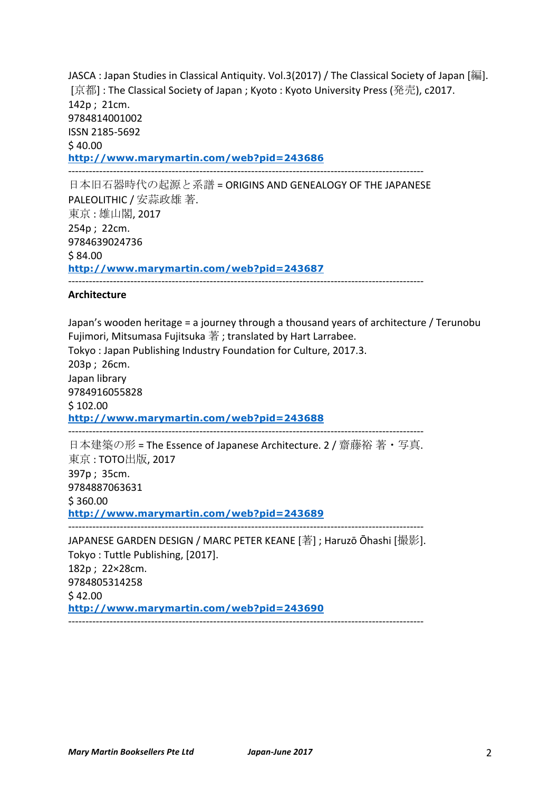JASCA : Japan Studies in Classical Antiquity. Vol.3(2017) / The Classical Society of Japan [編]. [京都] : The Classical Society of Japan ; Kyoto : Kyoto University Press (発売), c2017. 142p ; 21cm. 9784814001002 ISSN 2185-5692 \$40.00 **http://www.marymartin.com/web?pid=243686** -------------------------------------------------------------------------------------------------------

日本旧石器時代の起源と系譜 = ORIGINS AND GENEALOGY OF THE JAPANESE PALEOLITHIC / 安蒜政雄 著. 東京:雄山閣, 2017 254p ; 22cm. 9784639024736 \$84.00 **http://www.marymartin.com/web?pid=243687** -------------------------------------------------------------------------------------------------------

#### **Architecture**

Japan's wooden heritage = a journey through a thousand years of architecture / Terunobu Fujimori, Mitsumasa Fujitsuka 著; translated by Hart Larrabee. Tokyo: Japan Publishing Industry Foundation for Culture, 2017.3. 203p; 26cm. Japan library 9784916055828  $$102.00$ **http://www.marymartin.com/web?pid=243688** ------------------------------------------------------------------------------------------------------- 日本建築の形 = The Essence of Japanese Architecture. 2 / 齋藤裕 著・写真. 東京: TOTO出版, 2017 397p; 35cm. 9784887063631 \$ 360.00

**http://www.marymartin.com/web?pid=243689**

-------------------------------------------------------------------------------------------------------

JAPANESE GARDEN DESIGN / MARC PETER KEANE [著] ; Haruzō Ōhashi [撮影]. Tokyo: Tuttle Publishing, [2017]. 182p; 22×28cm. 9784805314258  $$42.00$ **http://www.marymartin.com/web?pid=243690** -------------------------------------------------------------------------------------------------------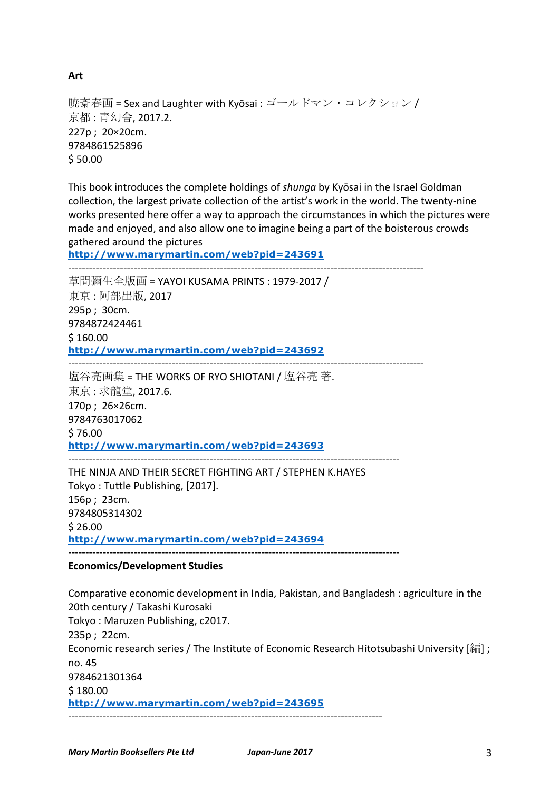*Mary Martin Booksellers Pte Ltd Japan-June 2017* 3

暁斎春画 = Sex and Laughter with Kyōsai : ゴールドマン・コレクション / 京都: 青幻舎, 2017.2. 227p; 20×20cm. 9784861525896 \$ 50.00

This book introduces the complete holdings of *shunga* by Kyōsai in the Israel Goldman collection, the largest private collection of the artist's work in the world. The twenty-nine works presented here offer a way to approach the circumstances in which the pictures were made and enjoyed, and also allow one to imagine being a part of the boisterous crowds gathered around the pictures

**http://www.marymartin.com/web?pid=243691**

------------------------------------------------------------------------------------------------------- 草間彌生全版画 = YAYOI KUSAMA PRINTS : 1979-2017 / 東京: 阿部出版, 2017 295p ; 30cm. 9784872424461  $$160.00$ **http://www.marymartin.com/web?pid=243692** -------------------------------------------------------------------------------------------------------

塩谷亮画集 = THE WORKS OF RYO SHIOTANI / 塩谷亮 著. 東京: 求龍堂, 2017.6. 170p ; 26×26cm. 9784763017062 \$ 76.00 **http://www.marymartin.com/web?pid=243693** ------------------------------------------------------------------------------------------------

THE NINJA AND THEIR SECRET FIGHTING ART / STEPHEN K.HAYES Tokyo: Tuttle Publishing, [2017].  $156p : 23cm.$ 9784805314302  $$26.00$ **http://www.marymartin.com/web?pid=243694**  $-$ 

# **Economics/Development Studies**

Comparative economic development in India, Pakistan, and Bangladesh : agriculture in the 20th century / Takashi Kurosaki Tokyo: Maruzen Publishing, c2017.  $235p : 22cm.$ Economic research series / The Institute of Economic Research Hitotsubashi University [編] ; no. 45 9784621301364  $$180.00$ **http://www.marymartin.com/web?pid=243695** -------------------------------------------------------------------------------------------

**Art**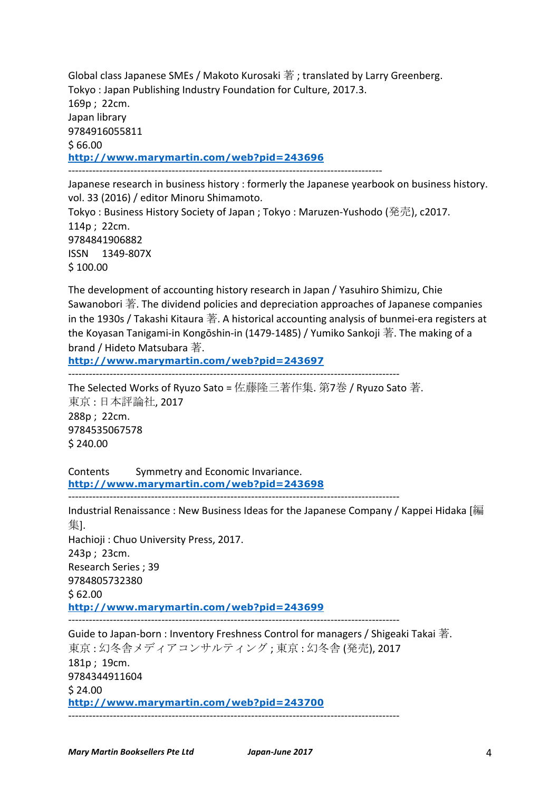Global class Japanese SMEs / Makoto Kurosaki 著; translated by Larry Greenberg. Tokyo: Japan Publishing Industry Foundation for Culture, 2017.3. 169p; 22cm. Japan library 9784916055811  $$66.00$ **http://www.marymartin.com/web?pid=243696** -------------------------------------------------------------------------------------------

Japanese research in business history : formerly the Japanese yearbook on business history. vol. 33 (2016) / editor Minoru Shimamoto. Tokyo: Business History Society of Japan ; Tokyo: Maruzen-Yushodo (発売), c2017.  $114p : 22cm.$ 9784841906882 ISSN 1349-807X  $$100.00$ 

The development of accounting history research in Japan / Yasuhiro Shimizu, Chie Sawanobori 著. The dividend policies and depreciation approaches of Japanese companies in the 1930s / Takashi Kitaura 著. A historical accounting analysis of bunmei-era registers at the Koyasan Tanigami-in Kongōshin-in (1479-1485) / Yumiko Sankoji 著. The making of a brand / Hideto Matsubara 著.

**http://www.marymartin.com/web?pid=243697**

------------------------------------------------------------------------------------------------

The Selected Works of Ryuzo Sato = 佐藤隆三著作集. 第7巻 / Ryuzo Sato 著. 東京:日本評論社, 2017 288p: 22cm. 9784535067578 \$ 240.00

Contents Symmetry and Economic Invariance. **http://www.marymartin.com/web?pid=243698**

------------------------------------------------------------------------------------------------ Industrial Renaissance : New Business Ideas for the Japanese Company / Kappei Hidaka [編 集]. Hachioji: Chuo University Press, 2017. 243p; 23cm. Research Series ; 39 9784805732380  $$62.00$ **http://www.marymartin.com/web?pid=243699** ------------------------------------------------------------------------------------------------ Guide to Japan-born : Inventory Freshness Control for managers / Shigeaki Takai  $\ddot{\mathcal{F}}$ . 東京: 幻冬舎メディアコンサルティング; 東京: 幻冬舎 (発売), 2017  $181p : 19cm.$ 

9784344911604  $$24.00$ **http://www.marymartin.com/web?pid=243700** ------------------------------------------------------------------------------------------------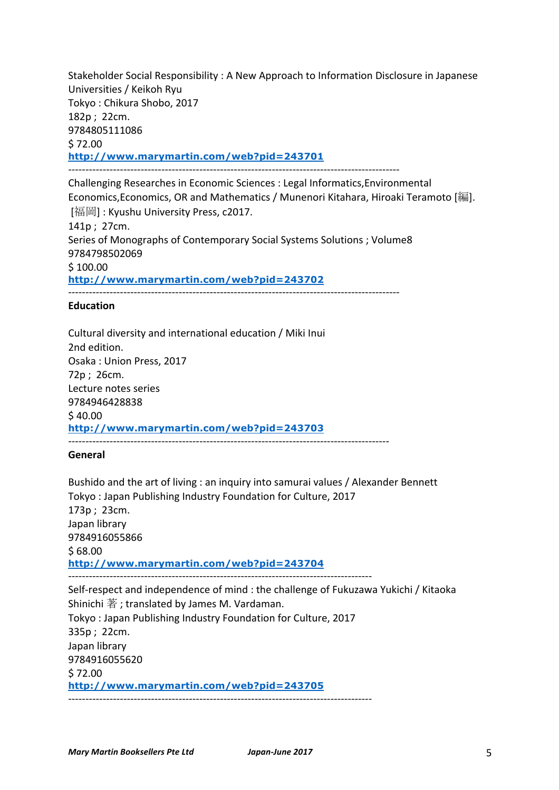Stakeholder Social Responsibility : A New Approach to Information Disclosure in Japanese Universities / Keikoh Ryu Tokyo: Chikura Shobo, 2017 182p; 22cm. 9784805111086  $$72.00$ **http://www.marymartin.com/web?pid=243701** ------------------------------------------------------------------------------------------------

Challenging Researches in Economic Sciences : Legal Informatics, Environmental Economics, Economics, OR and Mathematics / Munenori Kitahara, Hiroaki Teramoto [編]. [福岡] : Kyushu University Press, c2017.  $141p : 27cm.$ Series of Monographs of Contemporary Social Systems Solutions ; Volume8 9784798502069 \$ 100.00 **http://www.marymartin.com/web?pid=243702** ------------------------------------------------------------------------------------------------

### **Education**

Cultural diversity and international education / Miki Inui 2nd edition. Osaka: Union Press, 2017 72p ; 26cm. Lecture notes series 9784946428838  $$40.00$ **http://www.marymartin.com/web?pid=243703**

---------------------------------------------------------------------------------------------

## **General**

Bushido and the art of living : an inquiry into samurai values / Alexander Bennett Tokyo: Japan Publishing Industry Foundation for Culture, 2017 173p ; 23cm. Japan library 9784916055866  $$68.00$ **http://www.marymartin.com/web?pid=243704** ---------------------------------------------------------------------------------------- Self-respect and independence of mind : the challenge of Fukuzawa Yukichi / Kitaoka Shinichi 著 ; translated by James M. Vardaman. Tokyo: Japan Publishing Industry Foundation for Culture, 2017 335p; 22cm. Japan library 9784916055620 \$ 72.00 **http://www.marymartin.com/web?pid=243705** ----------------------------------------------------------------------------------------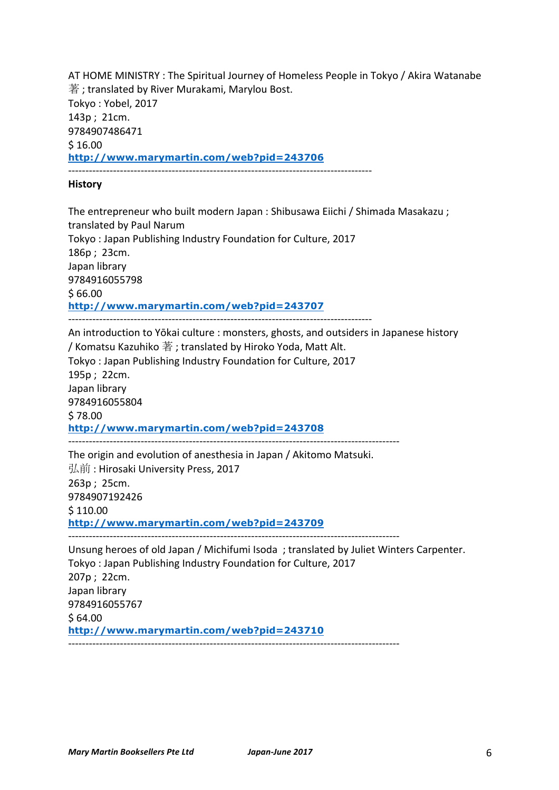AT HOME MINISTRY : The Spiritual Journey of Homeless People in Tokyo / Akira Watanabe  $\ddot{\ddot{\mathbf{x}}}$  ; translated by River Murakami, Marylou Bost. Tokyo: Yobel, 2017 143p; 21cm. 9784907486471  $$16.00$ **http://www.marymartin.com/web?pid=243706** ----------------------------------------------------------------------------------------

### **History**

The entrepreneur who built modern Japan : Shibusawa Eiichi / Shimada Masakazu ; translated by Paul Narum Tokyo: Japan Publishing Industry Foundation for Culture, 2017 186p; 23cm. Japan library 9784916055798  $$66.00$ **http://www.marymartin.com/web?pid=243707** ----------------------------------------------------------------------------------------

An introduction to Yōkai culture : monsters, ghosts, and outsiders in Japanese history / Komatsu Kazuhiko  $\ddot{\Xi}$ : translated by Hiroko Yoda, Matt Alt. Tokyo: Japan Publishing Industry Foundation for Culture, 2017 195p ; 22cm. Japan library 9784916055804 \$ 78.00 **http://www.marymartin.com/web?pid=243708** ------------------------------------------------------------------------------------------------

The origin and evolution of anesthesia in Japan / Akitomo Matsuki. 弘前: Hirosaki University Press, 2017 263p ; 25cm. 9784907192426  $$110.00$ **http://www.marymartin.com/web?pid=243709** ------------------------------------------------------------------------------------------------

Unsung heroes of old Japan / Michifumi Isoda : translated by Juliet Winters Carpenter. Tokyo: Japan Publishing Industry Foundation for Culture, 2017 207p; 22cm. Japan library 9784916055767  $$64.00$ **http://www.marymartin.com/web?pid=243710** ------------------------------------------------------------------------------------------------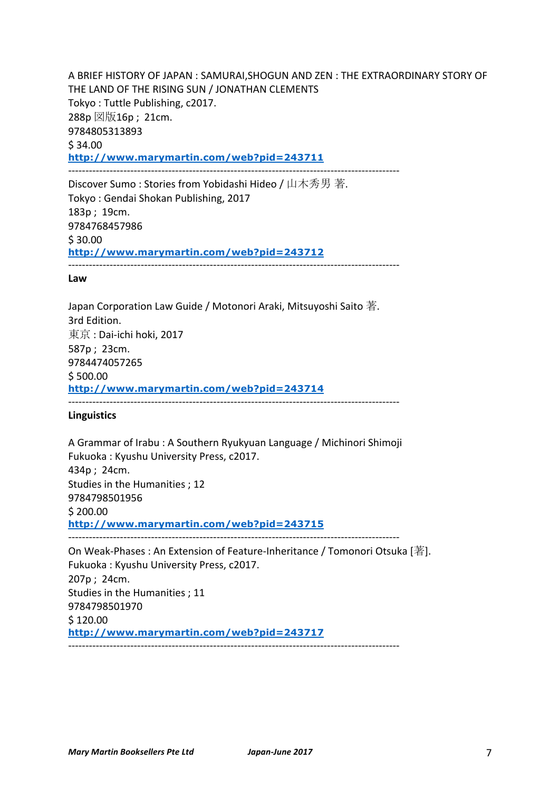A BRIEF HISTORY OF JAPAN : SAMURAI, SHOGUN AND ZEN : THE EXTRAORDINARY STORY OF THE LAND OF THE RISING SUN / JONATHAN CLEMENTS Tokyo: Tuttle Publishing, c2017.  $288p \boxtimes \boxplus 16p$ ; 21cm. 9784805313893  $$34.00$ **http://www.marymartin.com/web?pid=243711** ------------------------------------------------------------------------------------------------

Discover Sumo : Stories from Yobidashi Hideo / 山木秀男 著. Tokyo: Gendai Shokan Publishing, 2017 183p ; 19cm. 9784768457986  $$30.00$ **http://www.marymartin.com/web?pid=243712** ------------------------------------------------------------------------------------------------

#### **Law**

Japan Corporation Law Guide / Motonori Araki, Mitsuyoshi Saito  $\ddot{\ddot{\mathbf{x}}}$ . 3rd Edition. 東京: Dai-ichi hoki, 2017 587p ; 23cm. 9784474057265  $$500.00$ **http://www.marymartin.com/web?pid=243714** ------------------------------------------------------------------------------------------------

### **Linguistics**

A Grammar of Irabu : A Southern Ryukyuan Language / Michinori Shimoji Fukuoka: Kyushu University Press, c2017. 434p ; 24cm. Studies in the Humanities : 12 9784798501956  $$200.00$ **http://www.marymartin.com/web?pid=243715** ------------------------------------------------------------------------------------------------

On Weak-Phases : An Extension of Feature-Inheritance / Tomonori Otsuka [著]. Fukuoka: Kyushu University Press, c2017. 207p; 24cm. Studies in the Humanities ; 11 9784798501970  $$120.00$ **http://www.marymartin.com/web?pid=243717** ------------------------------------------------------------------------------------------------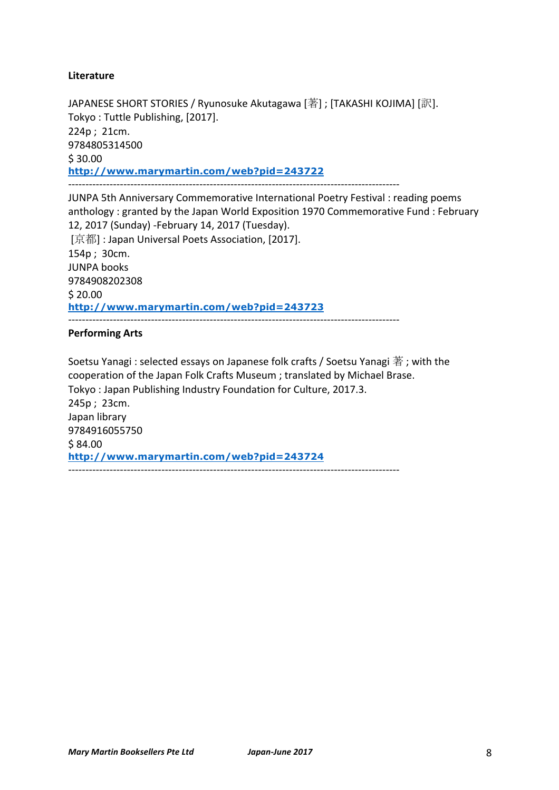# **Literature**

JAPANESE SHORT STORIES / Ryunosuke Akutagawa [著] ; [TAKASHI KOJIMA] [訳]. Tokyo: Tuttle Publishing, [2017]. 224p; 21cm. 9784805314500 \$ 30.00 **http://www.marymartin.com/web?pid=243722** ------------------------------------------------------------------------------------------------

JUNPA 5th Anniversary Commemorative International Poetry Festival : reading poems anthology : granted by the Japan World Exposition 1970 Commemorative Fund : February 12, 2017 (Sunday) - February 14, 2017 (Tuesday). [京都] : Japan Universal Poets Association, [2017]. 154p; 30cm. **JUNPA** books 9784908202308  $$20.00$ **http://www.marymartin.com/web?pid=243723** ------------------------------------------------------------------------------------------------

## **Performing Arts**

Soetsu Yanagi : selected essays on Japanese folk crafts / Soetsu Yanagi 著; with the cooperation of the Japan Folk Crafts Museum ; translated by Michael Brase. Tokyo: Japan Publishing Industry Foundation for Culture, 2017.3. 245p; 23cm. Japan library 9784916055750 \$84.00 **http://www.marymartin.com/web?pid=243724** ------------------------------------------------------------------------------------------------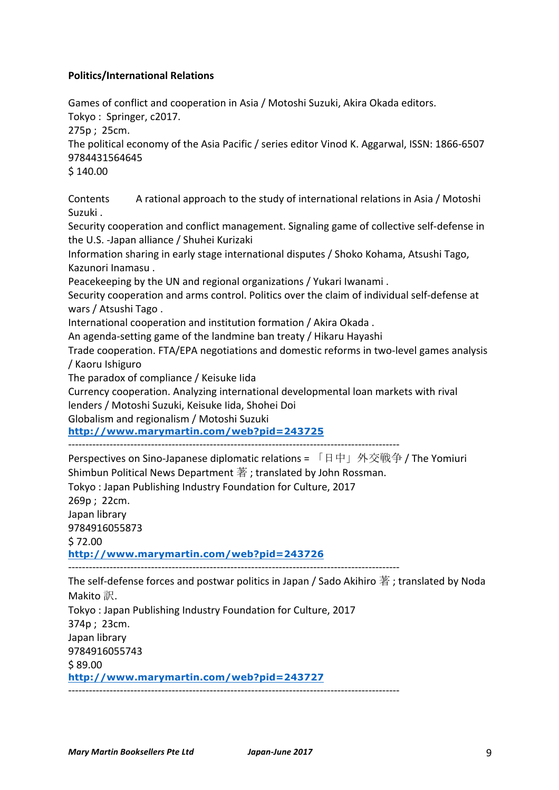# **Politics/International Relations**

Games of conflict and cooperation in Asia / Motoshi Suzuki, Akira Okada editors.

Tokyo: Springer, c2017.

 $275p : 25cm.$ 

The political economy of the Asia Pacific / series editor Vinod K. Aggarwal, ISSN: 1866-6507 9784431564645

 $$140.00$ 

Contents A rational approach to the study of international relations in Asia / Motoshi Suzuki.

Security cooperation and conflict management. Signaling game of collective self-defense in the U.S. -Japan alliance / Shuhei Kurizaki

Information sharing in early stage international disputes / Shoko Kohama, Atsushi Tago, Kazunori Inamasu.

Peacekeeping by the UN and regional organizations / Yukari Iwanami.

Security cooperation and arms control. Politics over the claim of individual self-defense at wars / Atsushi Tago.

International cooperation and institution formation / Akira Okada .

An agenda-setting game of the landmine ban treaty / Hikaru Hayashi

Trade cooperation. FTA/EPA negotiations and domestic reforms in two-level games analysis / Kaoru Ishiguro 

The paradox of compliance / Keisuke lida

Currency cooperation. Analyzing international developmental loan markets with rival lenders / Motoshi Suzuki, Keisuke lida, Shohei Doi

Globalism and regionalism / Motoshi Suzuki

**http://www.marymartin.com/web?pid=243725**

Perspectives on Sino-Japanese diplomatic relations = 「日中」外交戦争 / The Yomiuri Shimbun Political News Department  $\ddot{\Xi}$ ; translated by John Rossman.

Tokyo: Japan Publishing Industry Foundation for Culture, 2017

269p ; 22cm.

Japan library

9784916055873

 $$72.00$ 

**http://www.marymartin.com/web?pid=243726**

------------------------------------------------------------------------------------------------

The self-defense forces and postwar politics in Japan / Sado Akihiro  $\frac{1}{4}$ ; translated by Noda Makito 訳.

Tokyo: Japan Publishing Industry Foundation for Culture, 2017  $374p$  ;  $23cm$ . Japan library 9784916055743  $$89.00$ 

**http://www.marymartin.com/web?pid=243727** ------------------------------------------------------------------------------------------------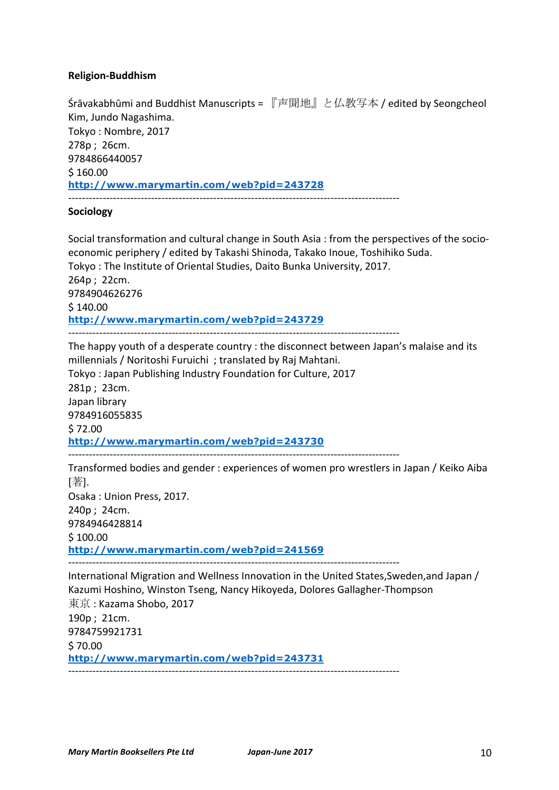## **Religion-Buddhism**

**Śrāvakabhūmi and Buddhist Manuscripts** = 『声聞地』と仏教写本 / edited by Seongcheol Kim, Jundo Nagashima. Tokyo : Nombre, 2017 278p; 26cm. 9784866440057  $$160.00$ **http://www.marymartin.com/web?pid=243728** ------------------------------------------------------------------------------------------------

### **Sociology**

Social transformation and cultural change in South Asia : from the perspectives of the socioeconomic periphery / edited by Takashi Shinoda, Takako Inoue, Toshihiko Suda. Tokyo: The Institute of Oriental Studies, Daito Bunka University, 2017. 264p ; 22cm. 9784904626276  $$140.00$ **http://www.marymartin.com/web?pid=243729** ------------------------------------------------------------------------------------------------

The happy youth of a desperate country : the disconnect between Japan's malaise and its millennials / Noritoshi Furuichi ; translated by Raj Mahtani. Tokyo: Japan Publishing Industry Foundation for Culture, 2017 281p ; 23cm. Japan library 9784916055835  $$72.00$ **http://www.marymartin.com/web?pid=243730** ------------------------------------------------------------------------------------------------ Transformed bodies and gender : experiences of women pro wrestlers in Japan / Keiko Aiba [著].

Osaka: Union Press, 2017. 240p ; 24cm. 9784946428814  $$100.00$ **http://www.marymartin.com/web?pid=241569**

------------------------------------------------------------------------------------------------

International Migration and Wellness Innovation in the United States, Sweden, and Japan / Kazumi Hoshino, Winston Tseng, Nancy Hikoyeda, Dolores Gallagher-Thompson 東京: Kazama Shobo, 2017 190p ; 21cm. 9784759921731  $$70.00$ **http://www.marymartin.com/web?pid=243731** ------------------------------------------------------------------------------------------------